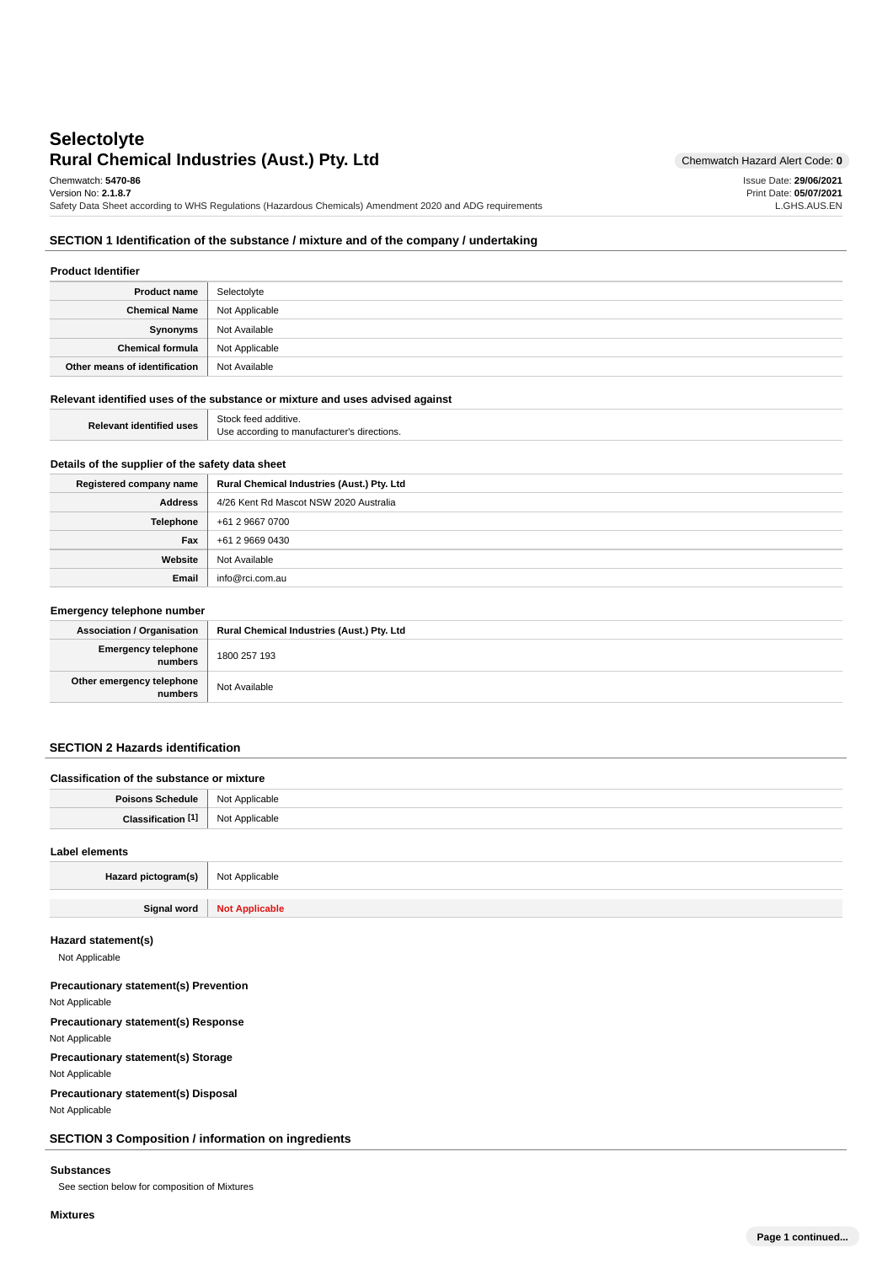# **Rural Chemical Industries (Aust.) Pty. Ltd** Chemwatch Hazard Alert Code: 0 **Selectolyte**

Issue Date: **29/06/2021** Print Date: **05/07/2021** L.GHS.AUS.EN

Chemwatch: **5470-86**

Version No: **2.1.8.7** Safety Data Sheet according to WHS Regulations (Hazardous Chemicals) Amendment 2020 and ADG requirements

## **SECTION 1 Identification of the substance / mixture and of the company / undertaking**

| <b>Product Identifier</b>     |                |
|-------------------------------|----------------|
| <b>Product name</b>           | Selectolyte    |
| <b>Chemical Name</b>          | Not Applicable |
| Synonyms                      | Not Available  |
| Chemical formula              | Not Applicable |
| Other means of identification | Not Available  |

### **Relevant identified uses of the substance or mixture and uses advised against**

| <b>Relevant identified uses</b> | Stock feed additive                                |
|---------------------------------|----------------------------------------------------|
|                                 | e according to manufacturer's directions.<br>' Ise |

## **Details of the supplier of the safety data sheet**

| Registered company name | Rural Chemical Industries (Aust.) Pty. Ltd |
|-------------------------|--------------------------------------------|
| Address                 | 4/26 Kent Rd Mascot NSW 2020 Australia     |
| <b>Telephone</b>        | +61 2 9667 0700                            |
| Fax                     | +61 2 9669 0430                            |
| Website                 | Not Available                              |
| Email                   | info@rci.com.au                            |

### **Emergency telephone number**

| <b>Association / Organisation</b>    | Rural Chemical Industries (Aust.) Pty. Ltd |
|--------------------------------------|--------------------------------------------|
| Emergency telephone<br>numbers       | 1800 257 193                               |
| Other emergency telephone<br>numbers | Not Available                              |

## **SECTION 2 Hazards identification**

| Classification of the substance or mixture |                |
|--------------------------------------------|----------------|
| Poisons Schedule                           | Not Applicable |
| Classification <sup>[1]</sup>              | Not Applicable |
| Label elements                             |                |

| Hazard pictogram(s) | Not Applicable        |
|---------------------|-----------------------|
|                     |                       |
| Signal word         | <b>Not Applicable</b> |

## **Hazard statement(s)**

Not Applicable

## **Precautionary statement(s) Prevention**

Not Applicable

### **Precautionary statement(s) Response**

Not Applicable

**Precautionary statement(s) Storage**

Not Applicable

**Precautionary statement(s) Disposal**

Not Applicable

**SECTION 3 Composition / information on ingredients**

### **Substances**

See section below for composition of Mixtures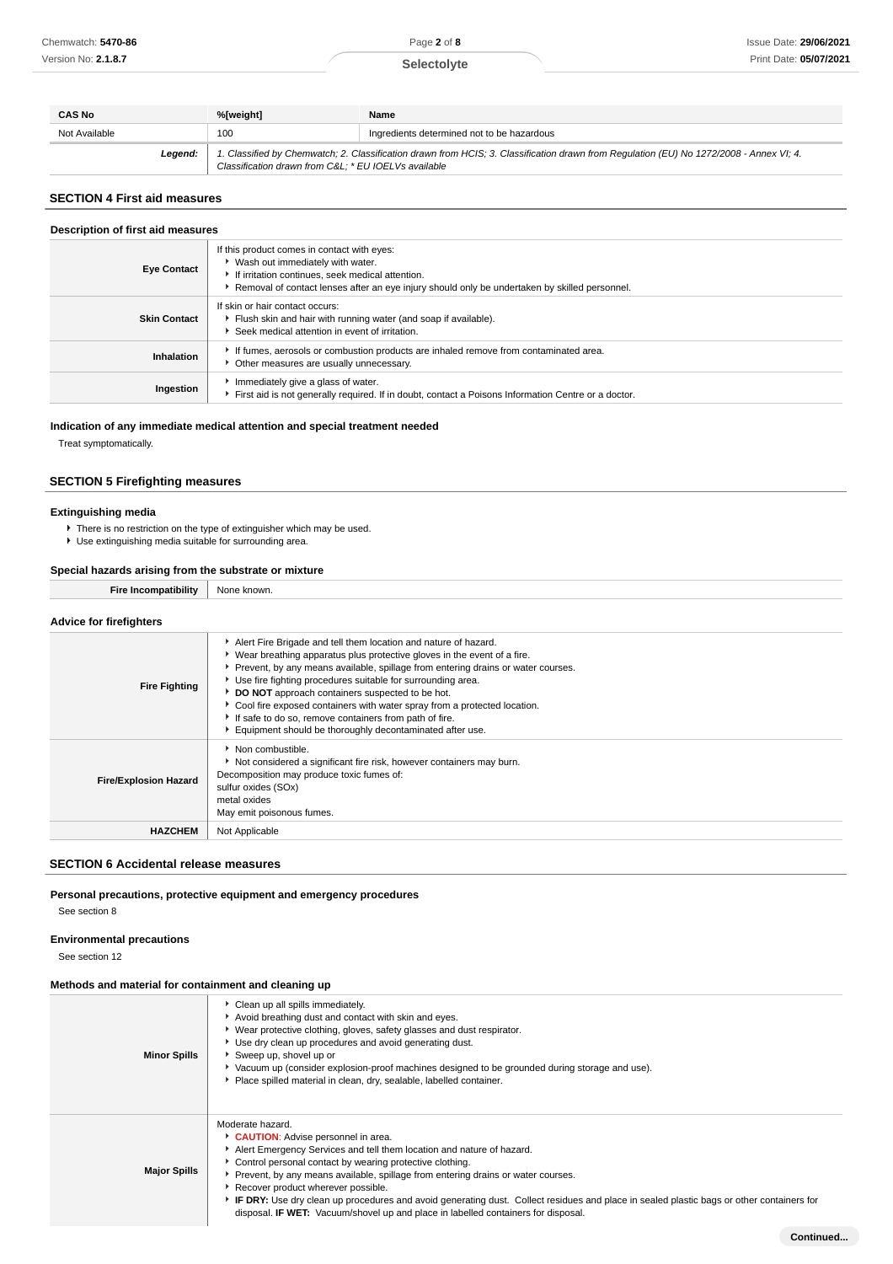## **Selectolyte**

| <b>CAS No</b> | %[weight]                                           | Name                                                                                                                                    |
|---------------|-----------------------------------------------------|-----------------------------------------------------------------------------------------------------------------------------------------|
| Not Available | 100                                                 | Ingredients determined not to be hazardous                                                                                              |
| Legend:       | Classification drawn from C&L * EU IOELVs available | 1. Classified by Chemwatch; 2. Classification drawn from HCIS; 3. Classification drawn from Regulation (EU) No 1272/2008 - Annex VI; 4. |

### **SECTION 4 First aid measures**

### **Description of first aid measures**

| <b>Eye Contact</b>  | If this product comes in contact with eyes:<br>▶ Wash out immediately with water.<br>If irritation continues, seek medical attention.<br>Removal of contact lenses after an eye injury should only be undertaken by skilled personnel. |
|---------------------|----------------------------------------------------------------------------------------------------------------------------------------------------------------------------------------------------------------------------------------|
| <b>Skin Contact</b> | If skin or hair contact occurs:<br>Flush skin and hair with running water (and soap if available).<br>Seek medical attention in event of irritation.                                                                                   |
| Inhalation          | If fumes, aerosols or combustion products are inhaled remove from contaminated area.<br>Other measures are usually unnecessary.                                                                                                        |
| Ingestion           | Immediately give a glass of water.<br>First aid is not generally required. If in doubt, contact a Poisons Information Centre or a doctor.                                                                                              |

## **Indication of any immediate medical attention and special treatment needed**

Treat symptomatically.

## **SECTION 5 Firefighting measures**

### **Extinguishing media**

- There is no restriction on the type of extinguisher which may be used.
- Use extinguishing media suitable for surrounding area.

## **Special hazards arising from the substrate or mixture**

| <b>Fire Incompatibility</b>    | None known. |
|--------------------------------|-------------|
|                                |             |
| <b>Advice for firefighters</b> |             |

| <b>Fire Fighting</b>         | Alert Fire Brigade and tell them location and nature of hazard.<br>▶ Wear breathing apparatus plus protective gloves in the event of a fire.<br>▶ Prevent, by any means available, spillage from entering drains or water courses.<br>Use fire fighting procedures suitable for surrounding area.<br>DO NOT approach containers suspected to be hot.<br>Cool fire exposed containers with water spray from a protected location.<br>If safe to do so, remove containers from path of fire.<br>Equipment should be thoroughly decontaminated after use. |
|------------------------------|--------------------------------------------------------------------------------------------------------------------------------------------------------------------------------------------------------------------------------------------------------------------------------------------------------------------------------------------------------------------------------------------------------------------------------------------------------------------------------------------------------------------------------------------------------|
| <b>Fire/Explosion Hazard</b> | Non combustible.<br>Not considered a significant fire risk, however containers may burn.<br>Decomposition may produce toxic fumes of:<br>sulfur oxides (SOx)<br>metal oxides<br>May emit poisonous fumes.                                                                                                                                                                                                                                                                                                                                              |
| <b>HAZCHEM</b>               | Not Applicable                                                                                                                                                                                                                                                                                                                                                                                                                                                                                                                                         |

### **SECTION 6 Accidental release measures**

### **Personal precautions, protective equipment and emergency procedures**

See section 8

## **Environmental precautions**

See section 12

### **Methods and material for containment and cleaning up**

| <b>Minor Spills</b> | Clean up all spills immediately.<br>Avoid breathing dust and contact with skin and eyes.<br>▶ Wear protective clothing, gloves, safety glasses and dust respirator.<br>Use dry clean up procedures and avoid generating dust.<br>Sweep up, shovel up or<br>▶ Vacuum up (consider explosion-proof machines designed to be grounded during storage and use).<br>Place spilled material in clean, dry, sealable, labelled container.                                                                                                                                  |
|---------------------|--------------------------------------------------------------------------------------------------------------------------------------------------------------------------------------------------------------------------------------------------------------------------------------------------------------------------------------------------------------------------------------------------------------------------------------------------------------------------------------------------------------------------------------------------------------------|
| <b>Major Spills</b> | Moderate hazard.<br>CAUTION: Advise personnel in area.<br>Alert Emergency Services and tell them location and nature of hazard.<br>• Control personal contact by wearing protective clothing.<br>Prevent, by any means available, spillage from entering drains or water courses.<br>▶ Recover product wherever possible.<br>FIF DRY: Use dry clean up procedures and avoid generating dust. Collect residues and place in sealed plastic bags or other containers for<br>disposal. <b>IF WET:</b> Vacuum/shovel up and place in labelled containers for disposal. |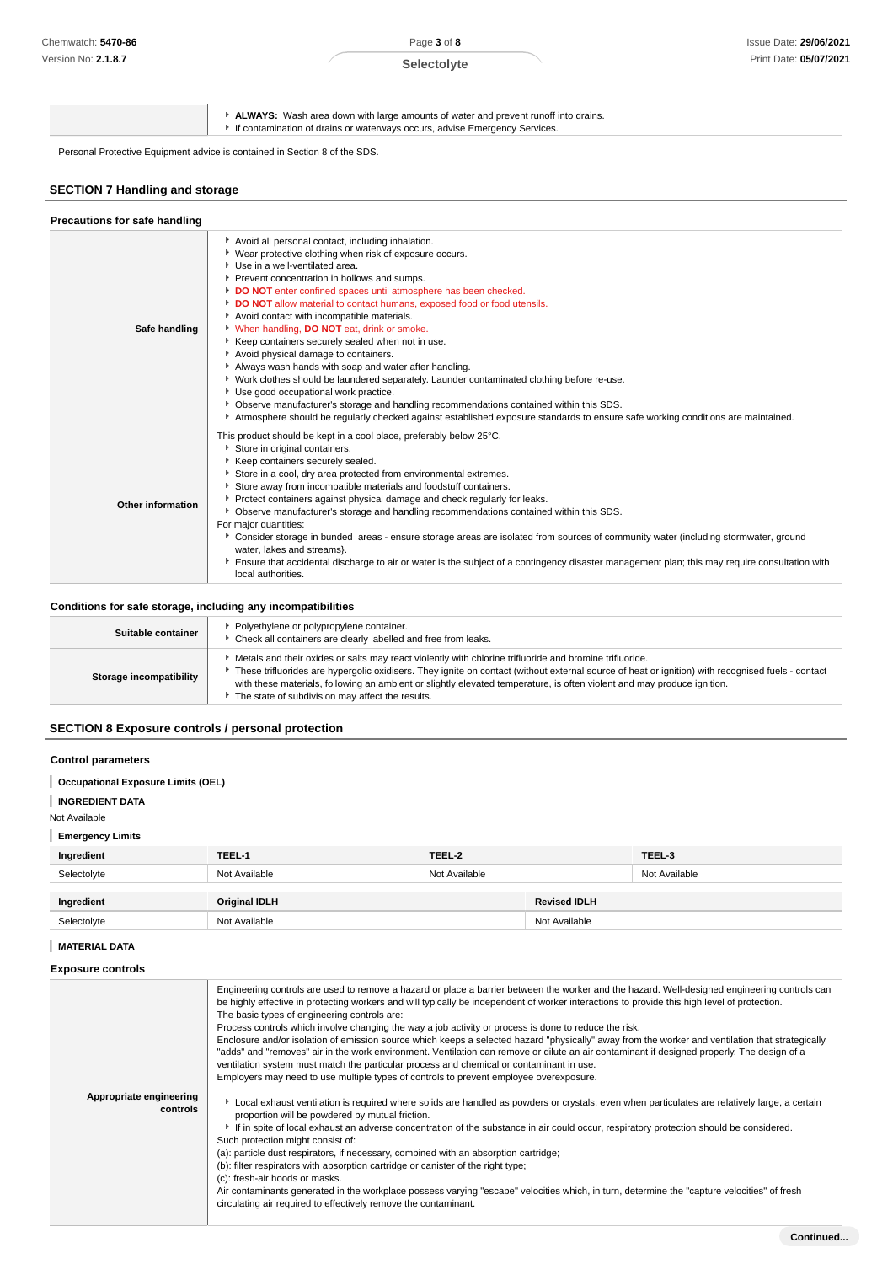Page **3** of **8 Selectolyte**

**ALWAYS:** Wash area down with large amounts of water and prevent runoff into drains.

If contamination of drains or waterways occurs, advise Emergency Services.

Personal Protective Equipment advice is contained in Section 8 of the SDS.

## **SECTION 7 Handling and storage**

| Precautions for safe handling |                                                                                                                                                                                                                                                                                                                                                                                                                                                                                                                                                                                                                                                                                                                                                                                                                                                                                                                                                                         |
|-------------------------------|-------------------------------------------------------------------------------------------------------------------------------------------------------------------------------------------------------------------------------------------------------------------------------------------------------------------------------------------------------------------------------------------------------------------------------------------------------------------------------------------------------------------------------------------------------------------------------------------------------------------------------------------------------------------------------------------------------------------------------------------------------------------------------------------------------------------------------------------------------------------------------------------------------------------------------------------------------------------------|
| Safe handling                 | Avoid all personal contact, including inhalation.<br>▶ Wear protective clothing when risk of exposure occurs.<br>Use in a well-ventilated area.<br>Prevent concentration in hollows and sumps.<br>DO NOT enter confined spaces until atmosphere has been checked.<br>DO NOT allow material to contact humans, exposed food or food utensils.<br>Avoid contact with incompatible materials.<br>V When handling, DO NOT eat, drink or smoke.<br>▶ Keep containers securely sealed when not in use.<br>Avoid physical damage to containers.<br>Always wash hands with soap and water after handling.<br>▶ Work clothes should be laundered separately. Launder contaminated clothing before re-use.<br>Use good occupational work practice.<br>▶ Observe manufacturer's storage and handling recommendations contained within this SDS.<br>Atmosphere should be regularly checked against established exposure standards to ensure safe working conditions are maintained. |
| <b>Other information</b>      | This product should be kept in a cool place, preferably below 25°C.<br>Store in original containers.<br>Keep containers securely sealed.<br>Store in a cool, dry area protected from environmental extremes.<br>Store away from incompatible materials and foodstuff containers.<br>• Protect containers against physical damage and check regularly for leaks.<br>▶ Observe manufacturer's storage and handling recommendations contained within this SDS.<br>For major quantities:<br>▶ Consider storage in bunded areas - ensure storage areas are isolated from sources of community water (including stormwater, ground<br>water, lakes and streams}.<br>Ensure that accidental discharge to air or water is the subject of a contingency disaster management plan; this may require consultation with<br>local authorities.                                                                                                                                       |

## **Conditions for safe storage, including any incompatibilities**

| Suitable container      | Polyethylene or polypropylene container.<br>• Check all containers are clearly labelled and free from leaks.                                                                                                                                                                                                                                                                                                                                |
|-------------------------|---------------------------------------------------------------------------------------------------------------------------------------------------------------------------------------------------------------------------------------------------------------------------------------------------------------------------------------------------------------------------------------------------------------------------------------------|
| Storage incompatibility | Metals and their oxides or salts may react violently with chlorine trifluoride and bromine trifluoride.<br>These trifluorides are hypergolic oxidisers. They ignite on contact (without external source of heat or ignition) with recognised fuels - contact<br>with these materials, following an ambient or slightly elevated temperature, is often violent and may produce ignition.<br>The state of subdivision may affect the results. |

## **SECTION 8 Exposure controls / personal protection**

### **Control parameters**

## **Occupational Exposure Limits (OEL)**

#### I **INGREDIENT DATA**

Not Available

**Emergency Limits**

| Ingredient  | TEEL-1        | TEEL-2        |                     | TEEL-3        |
|-------------|---------------|---------------|---------------------|---------------|
| Selectolyte | Not Available | Not Available |                     | Not Available |
| Ingredient  | Original IDLH |               | <b>Revised IDLH</b> |               |
| Selectolyte | Not Available |               | Not Available       |               |

## **MATERIAL DATA**

| <b>Exposure controls</b> |  |
|--------------------------|--|
|--------------------------|--|

| Appropriate engineering<br>controls | Engineering controls are used to remove a hazard or place a barrier between the worker and the hazard. Well-designed engineering controls can<br>be highly effective in protecting workers and will typically be independent of worker interactions to provide this high level of protection.<br>The basic types of engineering controls are:<br>Process controls which involve changing the way a job activity or process is done to reduce the risk.<br>Enclosure and/or isolation of emission source which keeps a selected hazard "physically" away from the worker and ventilation that strategically<br>"adds" and "removes" air in the work environment. Ventilation can remove or dilute an air contaminant if designed properly. The design of a<br>ventilation system must match the particular process and chemical or contaminant in use.<br>Employers may need to use multiple types of controls to prevent employee overexposure.<br>Local exhaust ventilation is required where solids are handled as powders or crystals; even when particulates are relatively large, a certain<br>proportion will be powdered by mutual friction.<br>If in spite of local exhaust an adverse concentration of the substance in air could occur, respiratory protection should be considered.<br>Such protection might consist of:<br>(a): particle dust respirators, if necessary, combined with an absorption cartridge;<br>(b): filter respirators with absorption cartridge or canister of the right type;<br>(c): fresh-air hoods or masks.<br>Air contaminants generated in the workplace possess varying "escape" velocities which, in turn, determine the "capture velocities" of fresh<br>circulating air required to effectively remove the contaminant. |
|-------------------------------------|---------------------------------------------------------------------------------------------------------------------------------------------------------------------------------------------------------------------------------------------------------------------------------------------------------------------------------------------------------------------------------------------------------------------------------------------------------------------------------------------------------------------------------------------------------------------------------------------------------------------------------------------------------------------------------------------------------------------------------------------------------------------------------------------------------------------------------------------------------------------------------------------------------------------------------------------------------------------------------------------------------------------------------------------------------------------------------------------------------------------------------------------------------------------------------------------------------------------------------------------------------------------------------------------------------------------------------------------------------------------------------------------------------------------------------------------------------------------------------------------------------------------------------------------------------------------------------------------------------------------------------------------------------------------------------------------------------------------------------------------------------------------|
|                                     |                                                                                                                                                                                                                                                                                                                                                                                                                                                                                                                                                                                                                                                                                                                                                                                                                                                                                                                                                                                                                                                                                                                                                                                                                                                                                                                                                                                                                                                                                                                                                                                                                                                                                                                                                                     |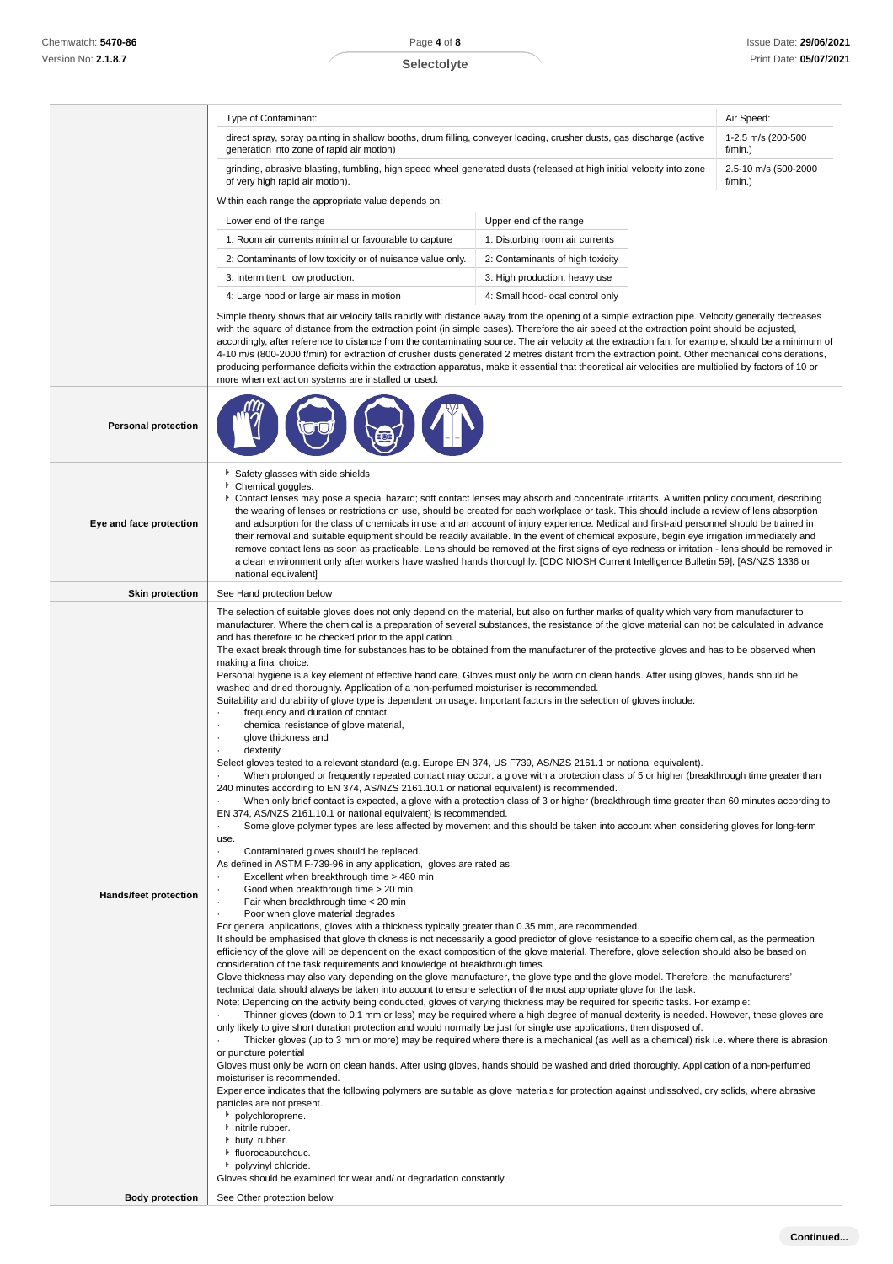Type of Contaminant: Air Speed: Air Speed: Air Speed: Air Speed: Air Speed: Air Speed: Air Speed: Air Speed: Air Speed: Air Speed: Air Speed: Air Speed: Air Speed: Air Speed: Air Speed: Air Speed: Air Speed: Air Speed: Air

### direct spray, spray painting in shallow booths, drum filling, conveyer loading, crusher dusts, gas discharge (active generation into zone of rapid air motion) 1-2.5 m/s (200-500  $f/min$ ) grinding, abrasive blasting, tumbling, high speed wheel generated dusts (released at high initial velocity into zone of very high rapid air motion). 2.5-10 m/s (500-2000 f/min.) Within each range the appropriate value depends on: Lower end of the range Upper end of the range 1: Room air currents minimal or favourable to capture 1: Disturbing room air currents 2: Contaminants of low toxicity or of nuisance value only. 2: Contaminants of high toxicity 3: Intermittent, low production.  $\overline{\phantom{a}}$  3: High production, heavy use 4: Large hood or large air mass in motion 4: Small hood-local control only Simple theory shows that air velocity falls rapidly with distance away from the opening of a simple extraction pipe. Velocity generally decreases with the square of distance from the extraction point (in simple cases). Therefore the air speed at the extraction point should be adjusted, accordingly, after reference to distance from the contaminating source. The air velocity at the extraction fan, for example, should be a minimum of 4-10 m/s (800-2000 f/min) for extraction of crusher dusts generated 2 metres distant from the extraction point. Other mechanical considerations, producing performance deficits within the extraction apparatus, make it essential that theoretical air velocities are multiplied by factors of 10 or more when extraction systems are installed or used. **Personal protection Eye and face protection** Safety glasses with side shields Chemical goggles. Contact lenses may pose a special hazard; soft contact lenses may absorb and concentrate irritants. A written policy document, describing the wearing of lenses or restrictions on use, should be created for each workplace or task. This should include a review of lens absorption and adsorption for the class of chemicals in use and an account of injury experience. Medical and first-aid personnel should be trained in their removal and suitable equipment should be readily available. In the event of chemical exposure, begin eye irrigation immediately and remove contact lens as soon as practicable. Lens should be removed at the first signs of eye redness or irritation - lens should be removed in a clean environment only after workers have washed hands thoroughly. [CDC NIOSH Current Intelligence Bulletin 59], [AS/NZS 1336 or national equivalent] **Skin protection** | See Hand protection below **Hands/feet protection** The selection of suitable gloves does not only depend on the material, but also on further marks of quality which vary from manufacturer to manufacturer. Where the chemical is a preparation of several substances, the resistance of the glove material can not be calculated in advance and has therefore to be checked prior to the application. The exact break through time for substances has to be obtained from the manufacturer of the protective gloves and has to be observed when making a final choice. Personal hygiene is a key element of effective hand care. Gloves must only be worn on clean hands. After using gloves, hands should be washed and dried thoroughly. Application of a non-perfumed moisturiser is recommended. Suitability and durability of glove type is dependent on usage. Important factors in the selection of gloves include: frequency and duration of contact, chemical resistance of glove material. glove thickness and dexterity Select gloves tested to a relevant standard (e.g. Europe EN 374, US F739, AS/NZS 2161.1 or national equivalent). · When prolonged or frequently repeated contact may occur, a glove with a protection class of 5 or higher (breakthrough time greater than 240 minutes according to EN 374, AS/NZS 2161.10.1 or national equivalent) is recommended. · When only brief contact is expected, a glove with a protection class of 3 or higher (breakthrough time greater than 60 minutes according to EN 374, AS/NZS 2161.10.1 or national equivalent) is recommended. Some glove polymer types are less affected by movement and this should be taken into account when considering gloves for long-term use. Contaminated gloves should be replaced. As defined in ASTM F-739-96 in any application, gloves are rated as: Excellent when breakthrough time > 480 min Good when breakthrough time > 20 min Fair when breakthrough time < 20 min Poor when glove material degrades For general applications, gloves with a thickness typically greater than 0.35 mm, are recommended. It should be emphasised that glove thickness is not necessarily a good predictor of glove resistance to a specific chemical, as the permeation efficiency of the glove will be dependent on the exact composition of the glove material. Therefore, glove selection should also be based on consideration of the task requirements and knowledge of breakthrough times. Glove thickness may also vary depending on the glove manufacturer, the glove type and the glove model. Therefore, the manufacturers' technical data should always be taken into account to ensure selection of the most appropriate glove for the task. Note: Depending on the activity being conducted, gloves of varying thickness may be required for specific tasks. For example: · Thinner gloves (down to 0.1 mm or less) may be required where a high degree of manual dexterity is needed. However, these gloves are only likely to give short duration protection and would normally be just for single use applications, then disposed of. · Thicker gloves (up to 3 mm or more) may be required where there is a mechanical (as well as a chemical) risk i.e. where there is abrasion or puncture potential Gloves must only be worn on clean hands. After using gloves, hands should be washed and dried thoroughly. Application of a non-perfumed moisturiser is recommended. Experience indicates that the following polymers are suitable as glove materials for protection against undissolved, dry solids, where abrasive particles are not present. polychloroprene. hitrile rubber. **butyl rubber.** fluorocaoutchouc. polyvinyl chloride. Gloves should be examined for wear and/ or degradation constantly. **Body protection** See Other protection below

**Continued...**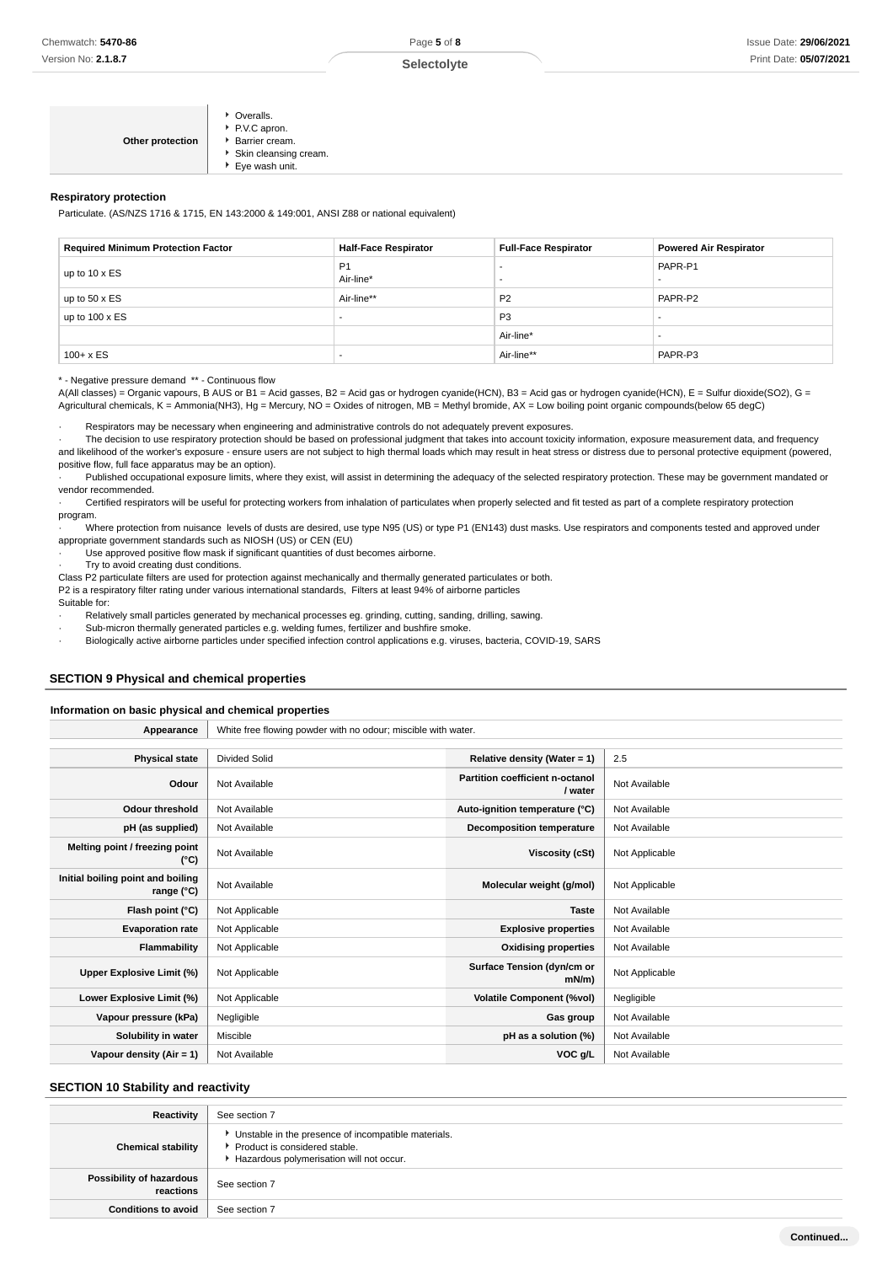| ▶ Eye wash unit. |
|------------------|
|------------------|

### **Respiratory protection**

Particulate. (AS/NZS 1716 & 1715, EN 143:2000 & 149:001, ANSI Z88 or national equivalent)

| <b>Required Minimum Protection Factor</b> | <b>Half-Face Respirator</b> | <b>Full-Face Respirator</b> | <b>Powered Air Respirator</b> |
|-------------------------------------------|-----------------------------|-----------------------------|-------------------------------|
| up to 10 x ES                             | P <sub>1</sub><br>Air-line* |                             | PAPR-P1                       |
| up to $50 \times ES$                      | Air-line**                  | P <sub>2</sub>              | PAPR-P2                       |
| up to $100 \times ES$                     | -                           | P <sub>3</sub>              |                               |
|                                           |                             | Air-line*                   |                               |
| $100 + x ES$                              | -                           | Air-line**                  | PAPR-P3                       |

\* - Negative pressure demand \*\* - Continuous flow

A(All classes) = Organic vapours, B AUS or B1 = Acid gasses, B2 = Acid gas or hydrogen cyanide(HCN), B3 = Acid gas or hydrogen cyanide(HCN), E = Sulfur dioxide(SO2), G = Agricultural chemicals, K = Ammonia(NH3), Hg = Mercury, NO = Oxides of nitrogen, MB = Methyl bromide, AX = Low boiling point organic compounds(below 65 degC)

· Respirators may be necessary when engineering and administrative controls do not adequately prevent exposures.

· The decision to use respiratory protection should be based on professional judgment that takes into account toxicity information, exposure measurement data, and frequency and likelihood of the worker's exposure - ensure users are not subject to high thermal loads which may result in heat stress or distress due to personal protective equipment (powered, positive flow, full face apparatus may be an option).

Published occupational exposure limits, where they exist, will assist in determining the adequacy of the selected respiratory protection. These may be government mandated or vendor recommended.

· Certified respirators will be useful for protecting workers from inhalation of particulates when properly selected and fit tested as part of a complete respiratory protection program.

· Where protection from nuisance levels of dusts are desired, use type N95 (US) or type P1 (EN143) dust masks. Use respirators and components tested and approved under appropriate government standards such as NIOSH (US) or CEN (EU)

Use approved positive flow mask if significant quantities of dust becomes airborne.

· Try to avoid creating dust conditions.

Class P2 particulate filters are used for protection against mechanically and thermally generated particulates or both. P2 is a respiratory filter rating under various international standards, Filters at least 94% of airborne particles

Suitable for:

Relatively small particles generated by mechanical processes eg. grinding, cutting, sanding, drilling, sawing.

Sub-micron thermally generated particles e.g. welding fumes, fertilizer and bushfire smoke.

· Biologically active airborne particles under specified infection control applications e.g. viruses, bacteria, COVID-19, SARS

## **SECTION 9 Physical and chemical properties**

### **Information on basic physical and chemical properties**

**Appearance** White free flowing powder with no odour; miscible with water.

| <b>Physical state</b>                           | <b>Divided Solid</b> | Relative density (Water = $1$ )            | 2.5            |
|-------------------------------------------------|----------------------|--------------------------------------------|----------------|
|                                                 |                      |                                            |                |
| Odour                                           | Not Available        | Partition coefficient n-octanol<br>/ water | Not Available  |
| <b>Odour threshold</b>                          | Not Available        | Auto-ignition temperature (°C)             | Not Available  |
| pH (as supplied)                                | Not Available        | <b>Decomposition temperature</b>           | Not Available  |
| Melting point / freezing point<br>(°C)          | Not Available        | Viscosity (cSt)                            | Not Applicable |
| Initial boiling point and boiling<br>range (°C) | Not Available        | Molecular weight (g/mol)                   | Not Applicable |
| Flash point (°C)                                | Not Applicable       | <b>Taste</b>                               | Not Available  |
| <b>Evaporation rate</b>                         | Not Applicable       | <b>Explosive properties</b>                | Not Available  |
| Flammability                                    | Not Applicable       | <b>Oxidising properties</b>                | Not Available  |
| Upper Explosive Limit (%)                       | Not Applicable       | Surface Tension (dyn/cm or<br>$mN/m$ )     | Not Applicable |
| Lower Explosive Limit (%)                       | Not Applicable       | <b>Volatile Component (%vol)</b>           | Negligible     |
| Vapour pressure (kPa)                           | Negligible           | Gas group                                  | Not Available  |
| Solubility in water                             | Miscible             | pH as a solution (%)                       | Not Available  |
| Vapour density (Air = 1)                        | Not Available        | VOC g/L                                    | Not Available  |

### **SECTION 10 Stability and reactivity**

| Reactivity                            | See section 7                                                                                                                      |
|---------------------------------------|------------------------------------------------------------------------------------------------------------------------------------|
| <b>Chemical stability</b>             | • Unstable in the presence of incompatible materials.<br>Product is considered stable.<br>Hazardous polymerisation will not occur. |
| Possibility of hazardous<br>reactions | See section 7                                                                                                                      |
| <b>Conditions to avoid</b>            | See section 7                                                                                                                      |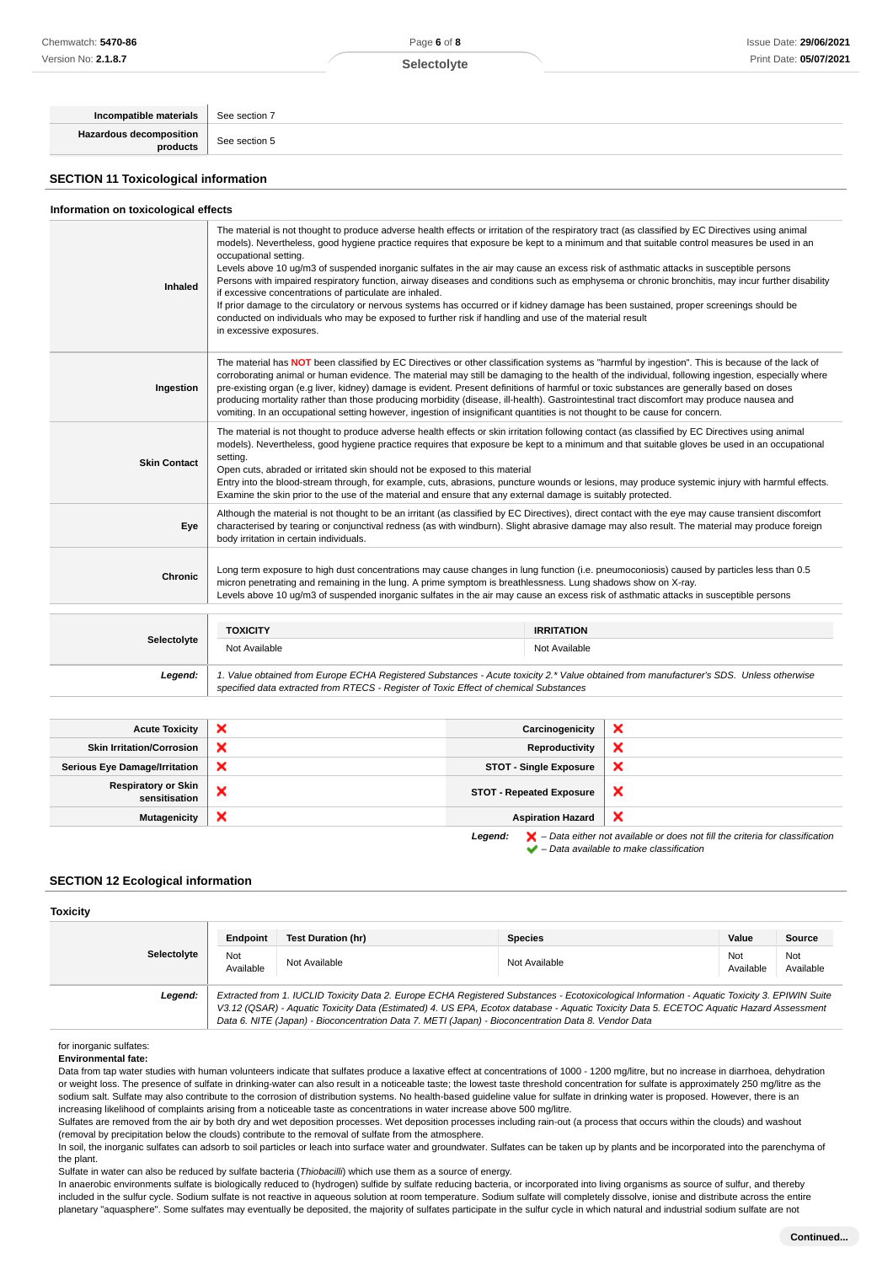Page **6** of **8**

| Incompatible materials                      | See section 7                                                                                                                                                                                                                                                                                                                                                                                                                                                                                                                                                                                                                                                                                                                                                                                                                                                                                                                                                  |
|---------------------------------------------|----------------------------------------------------------------------------------------------------------------------------------------------------------------------------------------------------------------------------------------------------------------------------------------------------------------------------------------------------------------------------------------------------------------------------------------------------------------------------------------------------------------------------------------------------------------------------------------------------------------------------------------------------------------------------------------------------------------------------------------------------------------------------------------------------------------------------------------------------------------------------------------------------------------------------------------------------------------|
| Hazardous decomposition<br>products         | See section 5                                                                                                                                                                                                                                                                                                                                                                                                                                                                                                                                                                                                                                                                                                                                                                                                                                                                                                                                                  |
| <b>SECTION 11 Toxicological information</b> |                                                                                                                                                                                                                                                                                                                                                                                                                                                                                                                                                                                                                                                                                                                                                                                                                                                                                                                                                                |
| Information on toxicological effects        |                                                                                                                                                                                                                                                                                                                                                                                                                                                                                                                                                                                                                                                                                                                                                                                                                                                                                                                                                                |
| Inhaled                                     | The material is not thought to produce adverse health effects or irritation of the respiratory tract (as classified by EC Directives using animal<br>models). Nevertheless, good hygiene practice requires that exposure be kept to a minimum and that suitable control measures be used in an<br>occupational setting.<br>Levels above 10 ug/m3 of suspended inorganic sulfates in the air may cause an excess risk of asthmatic attacks in susceptible persons<br>Persons with impaired respiratory function, airway diseases and conditions such as emphysema or chronic bronchitis, may incur further disability<br>if excessive concentrations of particulate are inhaled.<br>If prior damage to the circulatory or nervous systems has occurred or if kidney damage has been sustained, proper screenings should be<br>conducted on individuals who may be exposed to further risk if handling and use of the material result<br>in excessive exposures. |

|                     | <b>TOXICITY</b>                                                                         | <b>IRRITATION</b>                                                                                                                                                                                                                                                                                                                                                                                                                                                                                                                                                        |                                                                                                                                                                                                                                                                                                      |
|---------------------|-----------------------------------------------------------------------------------------|--------------------------------------------------------------------------------------------------------------------------------------------------------------------------------------------------------------------------------------------------------------------------------------------------------------------------------------------------------------------------------------------------------------------------------------------------------------------------------------------------------------------------------------------------------------------------|------------------------------------------------------------------------------------------------------------------------------------------------------------------------------------------------------------------------------------------------------------------------------------------------------|
|                     |                                                                                         |                                                                                                                                                                                                                                                                                                                                                                                                                                                                                                                                                                          |                                                                                                                                                                                                                                                                                                      |
| <b>Chronic</b>      |                                                                                         | Long term exposure to high dust concentrations may cause changes in lung function (i.e. pneumoconiosis) caused by particles less than 0.5<br>micron penetrating and remaining in the lung. A prime symptom is breathlessness. Lung shadows show on X-ray.<br>Levels above 10 ug/m3 of suspended inorganic sulfates in the air may cause an excess risk of asthmatic attacks in susceptible persons                                                                                                                                                                       |                                                                                                                                                                                                                                                                                                      |
| Eye                 | body irritation in certain individuals.                                                 |                                                                                                                                                                                                                                                                                                                                                                                                                                                                                                                                                                          | Although the material is not thought to be an irritant (as classified by EC Directives), direct contact with the eye may cause transient discomfort<br>characterised by tearing or conjunctival redness (as with windburn). Slight abrasive damage may also result. The material may produce foreign |
| <b>Skin Contact</b> | setting.<br>Open cuts, abraded or irritated skin should not be exposed to this material | The material is not thought to produce adverse health effects or skin irritation following contact (as classified by EC Directives using animal<br>Examine the skin prior to the use of the material and ensure that any external damage is suitably protected.                                                                                                                                                                                                                                                                                                          | models). Nevertheless, good hygiene practice requires that exposure be kept to a minimum and that suitable gloves be used in an occupational<br>Entry into the blood-stream through, for example, cuts, abrasions, puncture wounds or lesions, may produce systemic injury with harmful effects.     |
| Ingestion           |                                                                                         | The material has NOT been classified by EC Directives or other classification systems as "harmful by ingestion". This is because of the lack of<br>pre-existing organ (e.g liver, kidney) damage is evident. Present definitions of harmful or toxic substances are generally based on doses<br>producing mortality rather than those producing morbidity (disease, ill-health). Gastrointestinal tract discomfort may produce nausea and<br>vomiting. In an occupational setting however, ingestion of insignificant quantities is not thought to be cause for concern. | corroborating animal or human evidence. The material may still be damaging to the health of the individual, following ingestion, especially where                                                                                                                                                    |

|             | <b>TOXICITY</b>                                                                                                                                                                                                                 | <b>IRRITATION</b> |  |
|-------------|---------------------------------------------------------------------------------------------------------------------------------------------------------------------------------------------------------------------------------|-------------------|--|
| Selectolyte | Not Available                                                                                                                                                                                                                   | Not Available     |  |
| Legend:     | 1. Value obtained from Europe ECHA Registered Substances - Acute toxicity 2.* Value obtained from manufacturer's SDS. Unless otherwise<br>specified data extracted from RTECS - Register of Toxic Effect of chemical Substances |                   |  |

| <b>Acute Toxicity</b>                | $\boldsymbol{\mathsf{x}}$ | Carcinogenicity                 | $\boldsymbol{\mathsf{x}}$ |
|--------------------------------------|---------------------------|---------------------------------|---------------------------|
| <b>Skin Irritation/Corrosion</b>     | ×                         | Reproductivity                  | ×                         |
| <b>Serious Eye Damage/Irritation</b> | ×                         | <b>STOT - Single Exposure</b>   | ×                         |
| Respiratory or Skin<br>sensitisation | $\sim$                    | <b>STOT - Repeated Exposure</b> | ×                         |
| <b>Mutagenicity</b>                  | ×                         | <b>Aspiration Hazard</b>        | ×                         |
|                                      |                           |                                 |                           |

**Legend:**  $\mathbf{X}$  – Data either not available or does not fill the criteria for classification – Data available to make classification

### **SECTION 12 Ecological information**

### **Toxicity**

|             | Endpoint         | Test Duration (hr)                                                                                  | <b>Species</b>                                                                                                                                                                                                                                                                           | Value            | Source           |
|-------------|------------------|-----------------------------------------------------------------------------------------------------|------------------------------------------------------------------------------------------------------------------------------------------------------------------------------------------------------------------------------------------------------------------------------------------|------------------|------------------|
| Selectolyte | Not<br>Available | Not Available                                                                                       | Not Available                                                                                                                                                                                                                                                                            | Not<br>Available | Not<br>Available |
| Legend:     |                  | Data 6. NITE (Japan) - Bioconcentration Data 7. METI (Japan) - Bioconcentration Data 8. Vendor Data | Extracted from 1. IUCLID Toxicity Data 2. Europe ECHA Registered Substances - Ecotoxicological Information - Aquatic Toxicity 3. EPIWIN Suite<br>V3.12 (QSAR) - Aquatic Toxicity Data (Estimated) 4. US EPA, Ecotox database - Aquatic Toxicity Data 5. ECETOC Aquatic Hazard Assessment |                  |                  |

### for inorganic sulfates:

**Environmental fate:**

Data from tap water studies with human volunteers indicate that sulfates produce a laxative effect at concentrations of 1000 - 1200 mg/litre, but no increase in diarrhoea, dehydration or weight loss. The presence of sulfate in drinking-water can also result in a noticeable taste; the lowest taste threshold concentration for sulfate is approximately 250 mg/litre as the sodium salt. Sulfate may also contribute to the corrosion of distribution systems. No health-based guideline value for sulfate in drinking water is proposed. However, there is an increasing likelihood of complaints arising from a noticeable taste as concentrations in water increase above 500 mg/litre.

Sulfates are removed from the air by both dry and wet deposition processes. Wet deposition processes including rain-out (a process that occurs within the clouds) and washout (removal by precipitation below the clouds) contribute to the removal of sulfate from the atmosphere.

In soil, the inorganic sulfates can adsorb to soil particles or leach into surface water and groundwater. Sulfates can be taken up by plants and be incorporated into the parenchyma of the plant.

Sulfate in water can also be reduced by sulfate bacteria (Thiobacilli) which use them as a source of energy.

In anaerobic environments sulfate is biologically reduced to (hydrogen) sulfide by sulfate reducing bacteria, or incorporated into living organisms as source of sulfur, and thereby included in the sulfur cycle. Sodium sulfate is not reactive in aqueous solution at room temperature. Sodium sulfate will completely dissolve, ionise and distribute across the entire planetary "aquasphere". Some sulfates may eventually be deposited, the majority of sulfates participate in the sulfur cycle in which natural and industrial sodium sulfate are not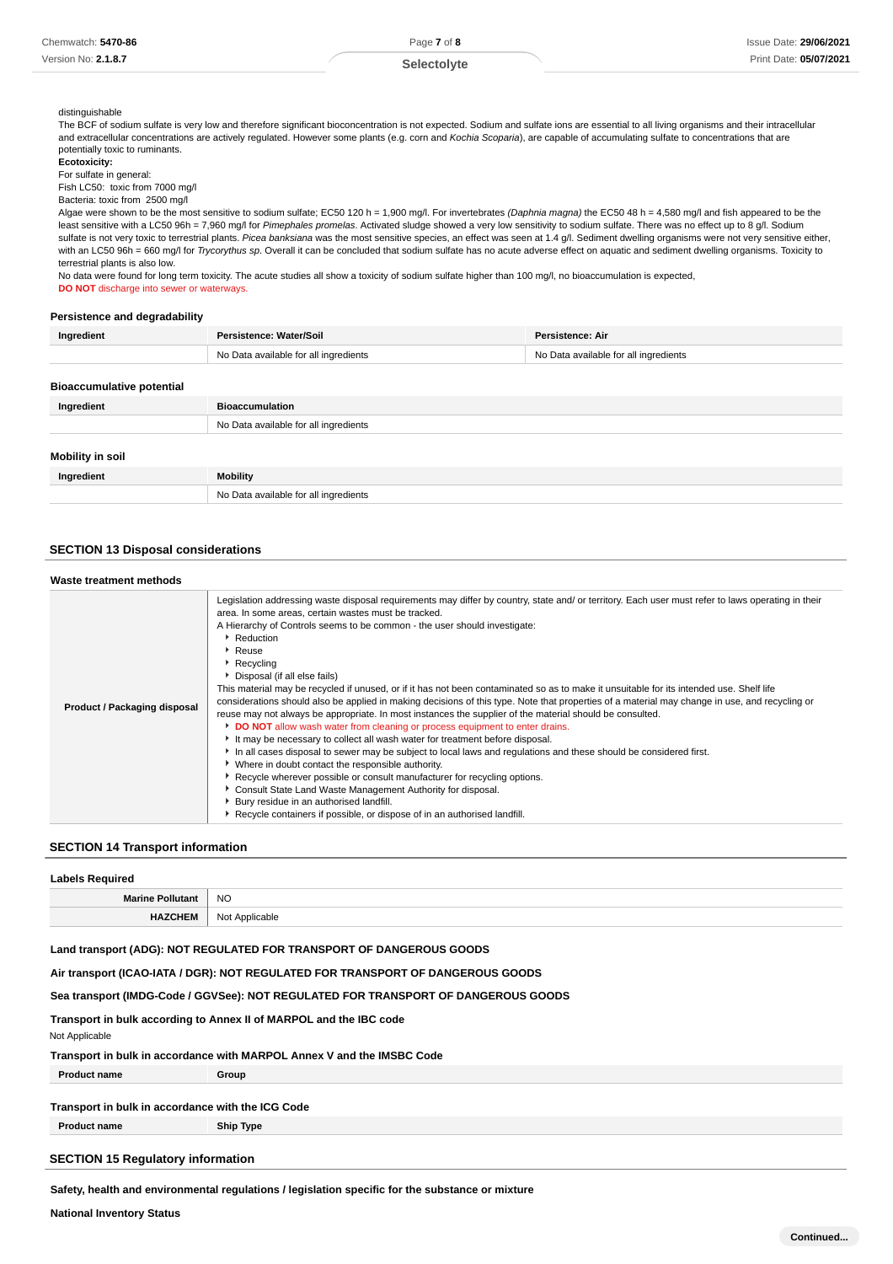### **Selectolyte**

### distinguishable

The BCF of sodium sulfate is very low and therefore significant bioconcentration is not expected. Sodium and sulfate ions are essential to all living organisms and their intracellular and extracellular concentrations are actively regulated. However some plants (e.g. corn and Kochia Scoparia), are capable of accumulating sulfate to concentrations that are potentially toxic to ruminants.

**Ecotoxicity:**

For sulfate in general:

Fish LC50: toxic from 7000 mg/l Bacteria: toxic from 2500 mg/l

Algae were shown to be the most sensitive to sodium sulfate; EC50 120 h = 1,900 mg/l. For invertebrates (Daphnia magna) the EC50 48 h = 4,580 mg/l and fish appeared to be the least sensitive with a LC50 96h = 7,960 mg/l for Pimephales promelas. Activated sludge showed a very low sensitivity to sodium sulfate. There was no effect up to 8 g/l. Sodium sulfate is not very toxic to terrestrial plants. Picea banksiana was the most sensitive species, an effect was seen at 1.4 g/l. Sediment dwelling organisms were not very sensitive either, with an LC50 96h = 660 mg/l for Trycorythus sp. Overall it can be concluded that sodium sulfate has no acute adverse effect on aquatic and sediment dwelling organisms. Toxicity to terrestrial plants is also low.

No data were found for long term toxicity. The acute studies all show a toxicity of sodium sulfate higher than 100 mg/l, no bioaccumulation is expected, **DO NOT** discharge into sewer or waterways.

### **Persistence and degradability**

| Ingredient                       | Persistence: Water/Soil               | Persistence: Air                      |  |
|----------------------------------|---------------------------------------|---------------------------------------|--|
|                                  | No Data available for all ingredients | No Data available for all ingredients |  |
|                                  |                                       |                                       |  |
| <b>Bioaccumulative potential</b> |                                       |                                       |  |
| Ingredient                       | <b>Bioaccumulation</b>                |                                       |  |
|                                  | No Data available for all ingredients |                                       |  |
|                                  |                                       |                                       |  |
| Mobility in soil                 |                                       |                                       |  |
| Ingredient                       | <b>Mobility</b>                       |                                       |  |
|                                  | No Data available for all ingredients |                                       |  |

### **SECTION 13 Disposal considerations**

| Waste treatment methods      |                                                                                                                                                                                                                                                                                                                                                                                                                                                                                                                                                                                                                                                                                                                                                                                                                                                                                                                                                                                                                                                                                                                                                                                                                                                                                                                                                                                       |
|------------------------------|---------------------------------------------------------------------------------------------------------------------------------------------------------------------------------------------------------------------------------------------------------------------------------------------------------------------------------------------------------------------------------------------------------------------------------------------------------------------------------------------------------------------------------------------------------------------------------------------------------------------------------------------------------------------------------------------------------------------------------------------------------------------------------------------------------------------------------------------------------------------------------------------------------------------------------------------------------------------------------------------------------------------------------------------------------------------------------------------------------------------------------------------------------------------------------------------------------------------------------------------------------------------------------------------------------------------------------------------------------------------------------------|
| Product / Packaging disposal | Legislation addressing waste disposal requirements may differ by country, state and/ or territory. Each user must refer to laws operating in their<br>area. In some areas, certain wastes must be tracked.<br>A Hierarchy of Controls seems to be common - the user should investigate:<br>Reduction<br>▶ Reuse<br>Recycling<br>Disposal (if all else fails)<br>This material may be recycled if unused, or if it has not been contaminated so as to make it unsuitable for its intended use. Shelf life<br>considerations should also be applied in making decisions of this type. Note that properties of a material may change in use, and recycling or<br>reuse may not always be appropriate. In most instances the supplier of the material should be consulted.<br>DO NOT allow wash water from cleaning or process equipment to enter drains.<br>It may be necessary to collect all wash water for treatment before disposal.<br>In all cases disposal to sewer may be subject to local laws and regulations and these should be considered first.<br>• Where in doubt contact the responsible authority.<br>▶ Recycle wherever possible or consult manufacturer for recycling options.<br>Consult State Land Waste Management Authority for disposal.<br>Bury residue in an authorised landfill.<br>Recycle containers if possible, or dispose of in an authorised landfill. |

## **SECTION 14 Transport information**

| <b>Labels Required</b>  |                |  |
|-------------------------|----------------|--|
| <b>Marine Pollutant</b> | <b>NO</b>      |  |
| <b>HAZCHEM</b>          | Not Applicable |  |

### **Land transport (ADG): NOT REGULATED FOR TRANSPORT OF DANGEROUS GOODS**

**Air transport (ICAO-IATA / DGR): NOT REGULATED FOR TRANSPORT OF DANGEROUS GOODS**

**Sea transport (IMDG-Code / GGVSee): NOT REGULATED FOR TRANSPORT OF DANGEROUS GOODS**

## **Transport in bulk according to Annex II of MARPOL and the IBC code**

Not Applicable

**Transport in bulk in accordance with MARPOL Annex V and the IMSBC Code**

**Product name Group** 

### **Transport in bulk in accordance with the ICG Code**

**Product name Ship Type**

### **SECTION 15 Regulatory information**

**Safety, health and environmental regulations / legislation specific for the substance or mixture**

**National Inventory Status**